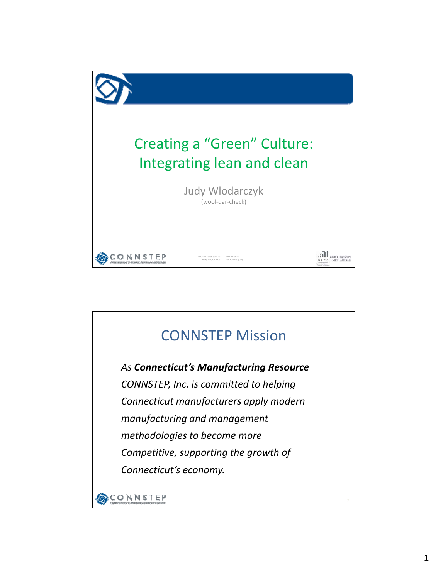

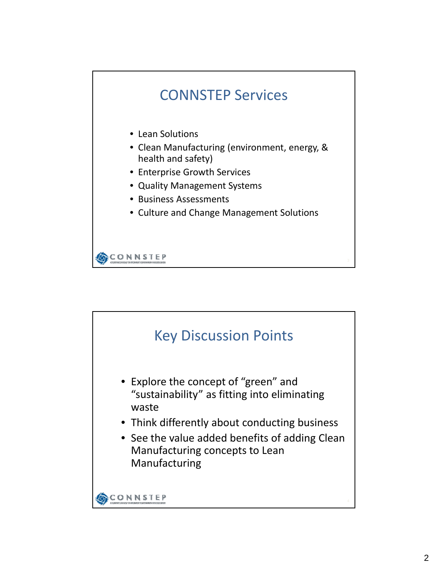

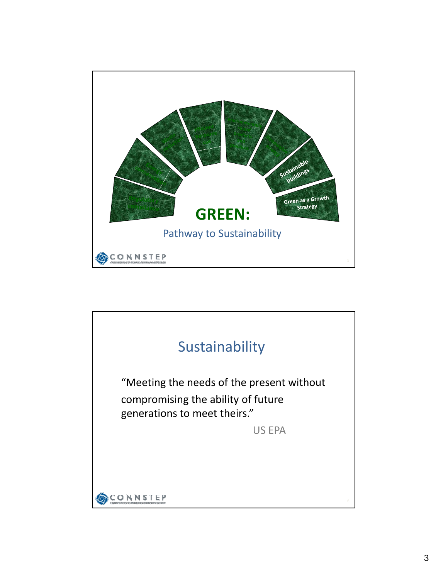

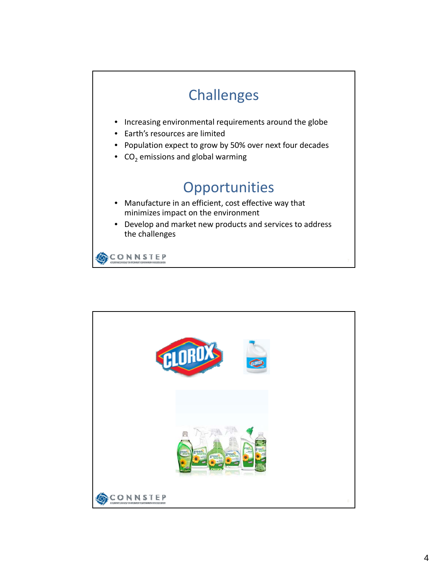

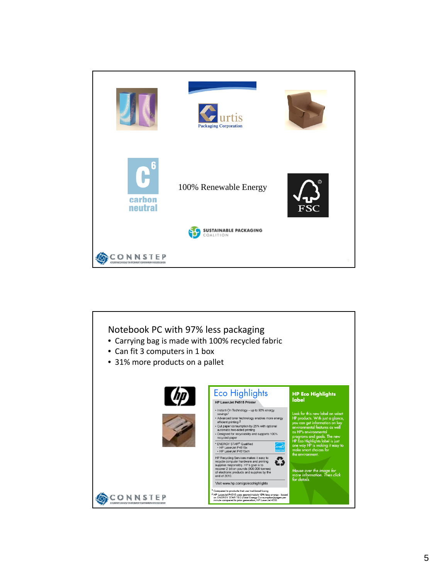

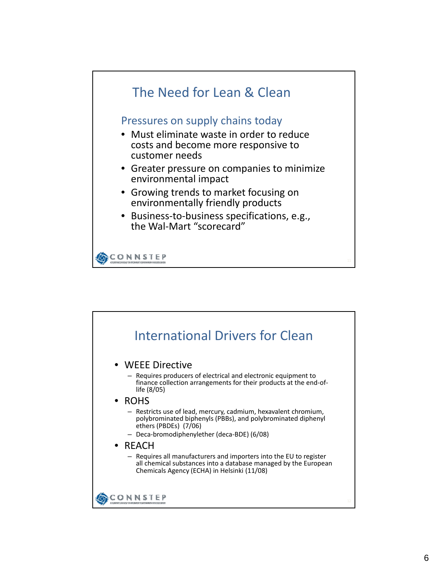

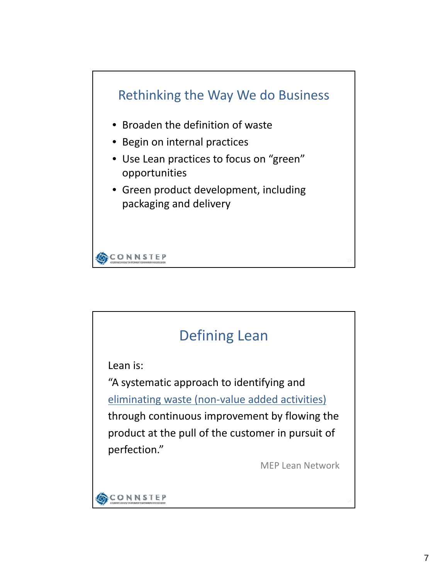

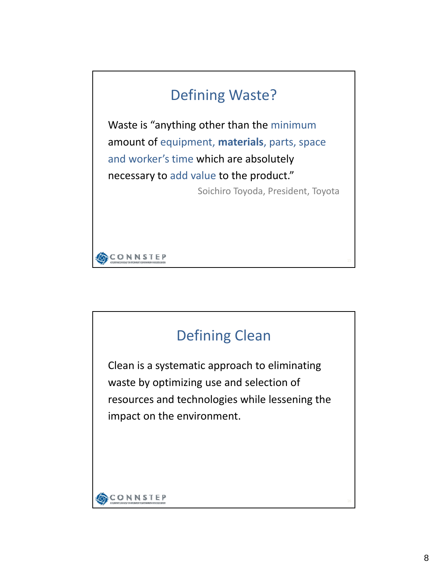## Defining Waste?

Waste is "anything other than the minimum amount of equipment, **materials**, parts, space and worker's time which are absolutely necessary to add value to the product."

Soichiro Toyoda, President, Toyota



## Defining Clean

Clean is a systematic approach to eliminating waste by optimizing use and selection of resources and technologies while lessening the impact on the environment.

**CONNSTEP**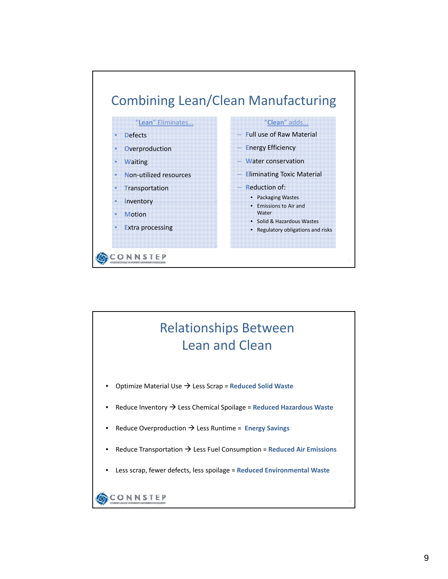

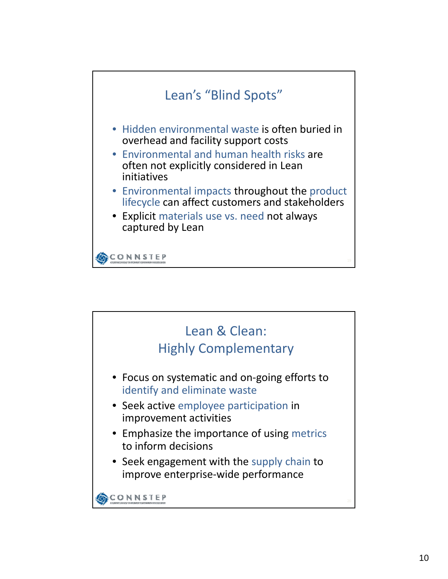

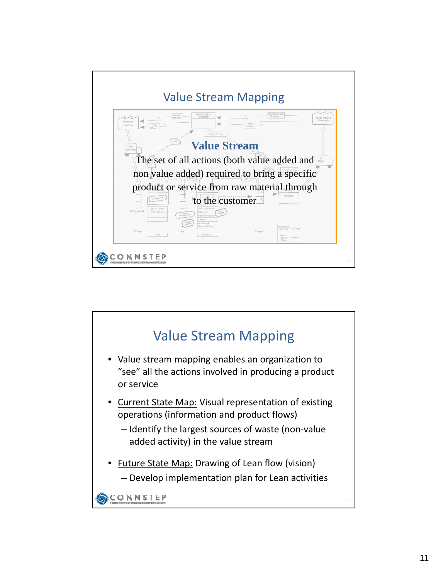

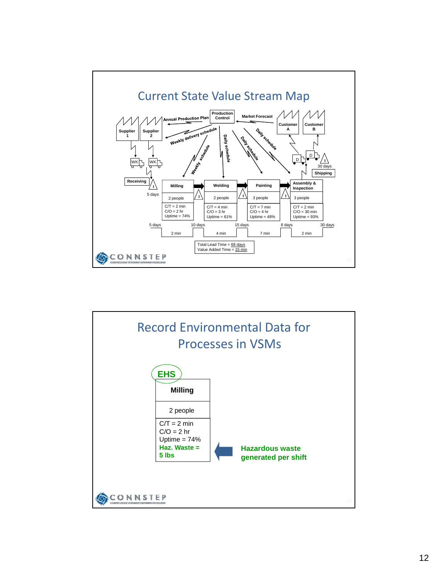

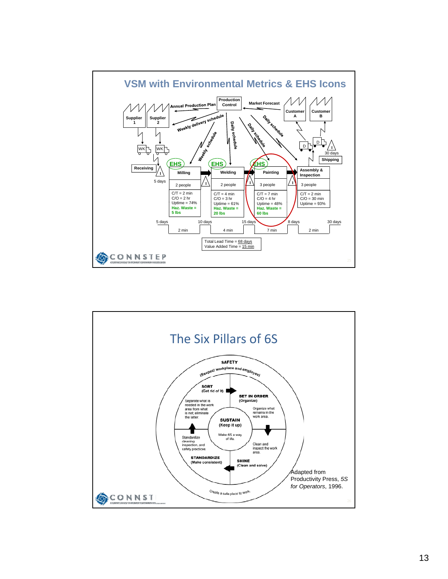

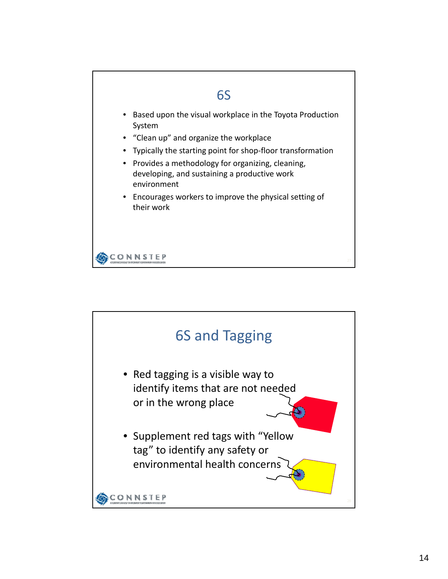

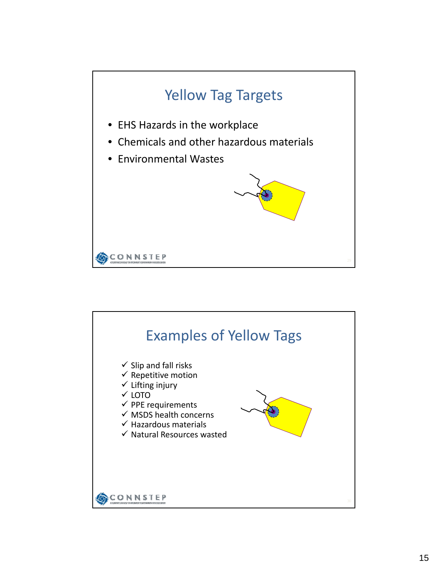

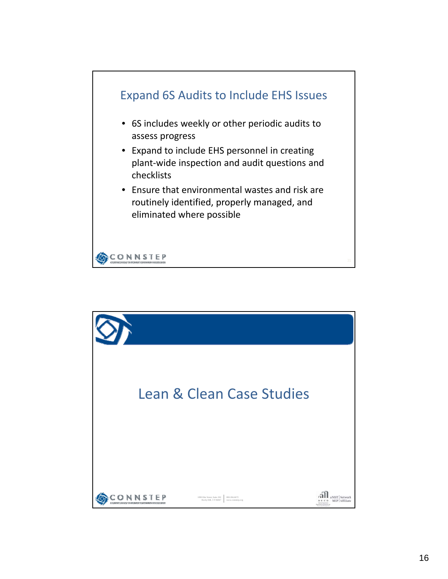

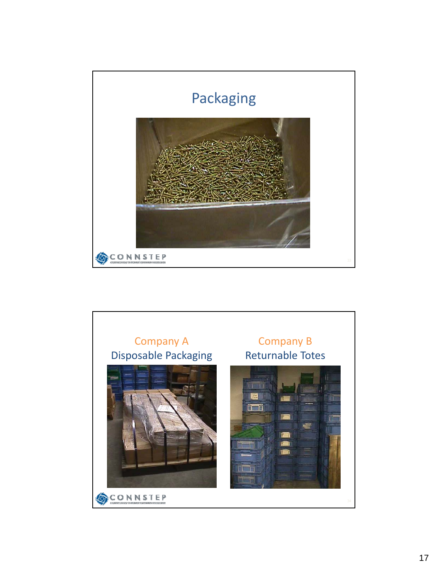

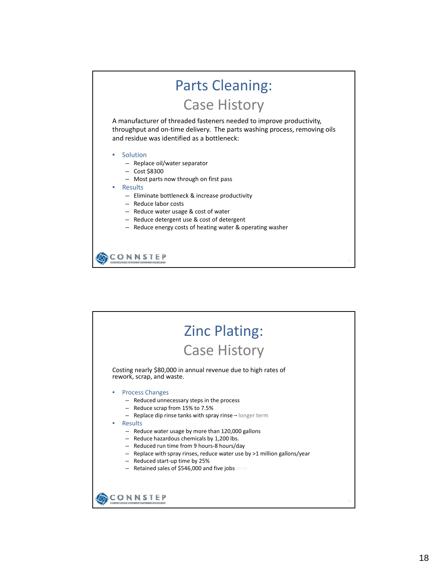## Parts Cleaning:

Case History

A manufacturer of threaded fasteners needed to improve productivity, throughput and on‐time delivery. The parts washing process, removing oils and residue was identified as a bottleneck:

- **Solution** 
	- Replace oil/water separator
	- Cost \$8300
	- Most parts now through on first pass
- Results
	- Eliminate bottleneck & increase productivity
	- Reduce labor costs
	- Reduce water usage & cost of water
	- Reduce detergent use & cost of detergent
	- Reduce energy costs of heating water & operating washer

CONNSTEP

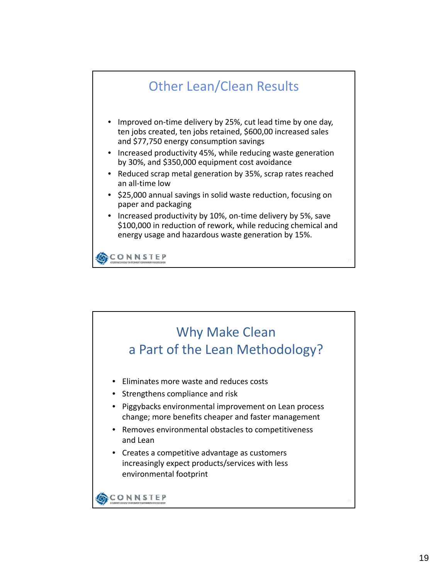

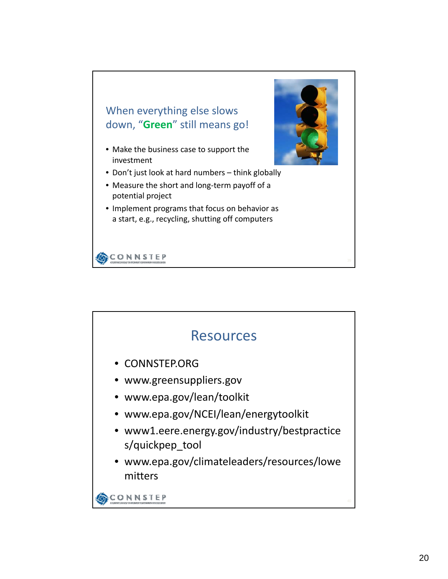